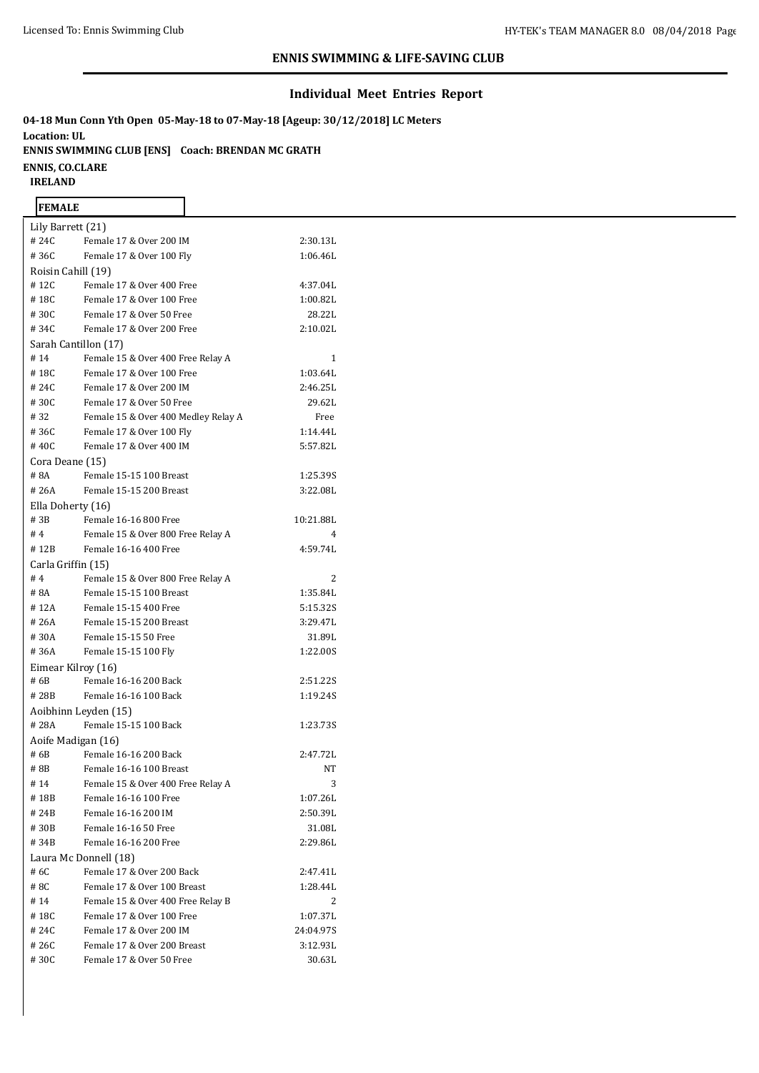#### **Individual Meet Entries Report**

**04-18 Mun Conn Yth Open 05-May-18 to 07-May-18 [Ageup: 30/12/2018] LC Meters Location: UL ENNIS SWIMMING CLUB [ENS] Coach: BRENDAN MC GRATH ENNIS, CO.CLARE IRELAND**

| <b>FEMALE</b>         |                                     |           |  |  |  |  |  |
|-----------------------|-------------------------------------|-----------|--|--|--|--|--|
| Lily Barrett (21)     |                                     |           |  |  |  |  |  |
| # 24C                 | Female 17 & Over 200 IM             | 2:30.13L  |  |  |  |  |  |
| #36C                  | Female 17 & Over 100 Fly            | 1:06.46L  |  |  |  |  |  |
| Roisin Cahill (19)    |                                     |           |  |  |  |  |  |
| #12C                  | Female 17 & Over 400 Free           | 4:37.04L  |  |  |  |  |  |
| #18C                  | Female 17 & Over 100 Free           | 1:00.82L  |  |  |  |  |  |
| #30C                  | Female 17 & Over 50 Free            | 28.22L    |  |  |  |  |  |
| #34C                  | Female 17 & Over 200 Free           | 2:10.02L  |  |  |  |  |  |
| Sarah Cantillon (17)  |                                     |           |  |  |  |  |  |
| #14                   | Female 15 & Over 400 Free Relay A   | 1         |  |  |  |  |  |
| #18C                  | Female 17 & Over 100 Free           | 1:03.64L  |  |  |  |  |  |
| # 24C                 | Female 17 & Over 200 IM             | 2:46.25L  |  |  |  |  |  |
| #30C                  | Female 17 & Over 50 Free            | 29.62L    |  |  |  |  |  |
| #32                   | Female 15 & Over 400 Medley Relay A | Free      |  |  |  |  |  |
| #36C                  | Female 17 & Over 100 Fly            | 1:14.44L  |  |  |  |  |  |
| #40C                  | Female 17 & Over 400 IM             | 5:57.82L  |  |  |  |  |  |
| Cora Deane (15)       |                                     |           |  |  |  |  |  |
| #8A                   | Female 15-15 100 Breast             | 1:25.39S  |  |  |  |  |  |
| #26A                  | Female 15-15 200 Breast             | 3:22.08L  |  |  |  |  |  |
| Ella Doherty (16)     |                                     |           |  |  |  |  |  |
| #3B                   | Female 16-16 800 Free               | 10:21.88L |  |  |  |  |  |
| #4                    | Female 15 & Over 800 Free Relay A   | 4         |  |  |  |  |  |
| #12B                  | Female 16-16 400 Free               | 4:59.74L  |  |  |  |  |  |
| Carla Griffin (15)    |                                     |           |  |  |  |  |  |
| #4                    | Female 15 & Over 800 Free Relay A   | 2         |  |  |  |  |  |
| # 8A                  | Female 15-15 100 Breast             | 1:35.84L  |  |  |  |  |  |
| #12A                  | Female 15-15 400 Free               | 5:15.32S  |  |  |  |  |  |
| # 26A                 | Female 15-15 200 Breast             | 3:29.47L  |  |  |  |  |  |
| #30A                  | Female 15-15 50 Free                | 31.89L    |  |  |  |  |  |
| #36A                  | Female 15-15 100 Fly                | 1:22.00S  |  |  |  |  |  |
| Eimear Kilroy (16)    |                                     |           |  |  |  |  |  |
| # 6B                  | Female 16-16 200 Back               | 2:51.22S  |  |  |  |  |  |
| #28B                  | Female 16-16 100 Back               | 1:19.24S  |  |  |  |  |  |
|                       | Aoibhinn Leyden (15)                |           |  |  |  |  |  |
| #28A                  | Female 15-15 100 Back               | 1:23.735  |  |  |  |  |  |
| Aoife Madigan (16)    |                                     |           |  |  |  |  |  |
| # 6B                  | Female 16-16 200 Back               | 2:47.72L  |  |  |  |  |  |
| # 8B                  | Female 16-16 100 Breast             | ΝT        |  |  |  |  |  |
| #14                   | Female 15 & Over 400 Free Relay A   | 3         |  |  |  |  |  |
| #18B                  | Female 16-16 100 Free               | 1:07.26L  |  |  |  |  |  |
| # 24B                 | Female 16-16 200 IM                 | 2:50.39L  |  |  |  |  |  |
| #30B                  | Female 16-16 50 Free                | 31.08L    |  |  |  |  |  |
| #34B                  | Female 16-16 200 Free               | 2:29.86L  |  |  |  |  |  |
| Laura Mc Donnell (18) |                                     |           |  |  |  |  |  |
| #6C                   | Female 17 & Over 200 Back           | 2:47.41L  |  |  |  |  |  |
| # 8C                  | Female 17 & Over 100 Breast         | 1:28.44L  |  |  |  |  |  |
| #14                   | Female 15 & Over 400 Free Relay B   | 2         |  |  |  |  |  |
| #18C                  | Female 17 & Over 100 Free           | 1:07.37L  |  |  |  |  |  |
| #24C                  | Female 17 & Over 200 IM             | 24:04.97S |  |  |  |  |  |
| # 26C                 | Female 17 & Over 200 Breast         | 3:12.93L  |  |  |  |  |  |
| #30C                  | Female 17 & Over 50 Free            | 30.63L    |  |  |  |  |  |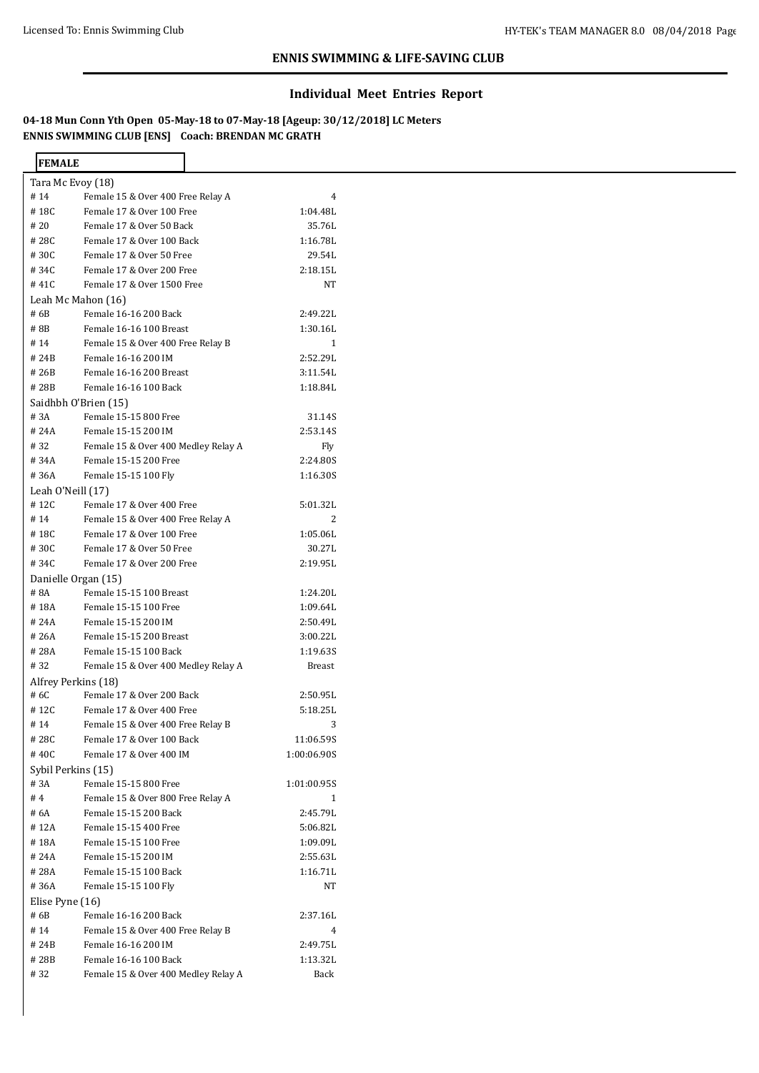# **Individual Meet Entries Report**

**04-18 Mun Conn Yth Open 05-May-18 to 07-May-18 [Ageup: 30/12/2018] LC Meters ENNIS SWIMMING CLUB [ENS] Coach: BRENDAN MC GRATH**

| <b>FEMALE</b>        |                                     |              |
|----------------------|-------------------------------------|--------------|
| Tara Mc Evoy (18)    |                                     |              |
| #14                  | Female 15 & Over 400 Free Relay A   | 4            |
| #18C                 | Female 17 & Over 100 Free           | 1:04.48L     |
| # 20                 | Female 17 & Over 50 Back            | 35.76L       |
| #28C                 | Female 17 & Over 100 Back           | 1:16.78L     |
| #30C                 | Female 17 & Over 50 Free            | 29.54L       |
| #34C                 | Female 17 & Over 200 Free           | 2:18.15L     |
| #41C                 | Female 17 & Over 1500 Free          | NT           |
| Leah Mc Mahon (16)   |                                     |              |
| # 6B                 | Female 16-16 200 Back               | 2:49.22L     |
| #8B                  | Female 16-16 100 Breast             | 1:30.16L     |
| #14                  | Female 15 & Over 400 Free Relay B   | 1            |
| # 24B                | Female 16-16 200 IM                 | 2:52.29L     |
| # 26B                | Female 16-16 200 Breast             | 3:11.54L     |
| #28B                 | Female 16-16 100 Back               | 1:18.84L     |
| Saidhbh O'Brien (15) |                                     |              |
| # 3A                 | Female 15-15 800 Free               | 31.14S       |
| # 24A                | Female 15-15 200 IM                 | 2:53.14S     |
| #32                  | Female 15 & Over 400 Medley Relay A | Fly          |
| #34A                 | Female 15-15 200 Free               | 2:24.80S     |
| #36A                 | Female 15-15 100 Fly                | 1:16.30S     |
| Leah O'Neill (17)    |                                     |              |
| #12C                 | Female 17 & Over 400 Free           | 5:01.32L     |
| #14                  | Female 15 & Over 400 Free Relay A   | 2            |
| #18C                 | Female 17 & Over 100 Free           | 1:05.06L     |
| #30C                 | Female 17 & Over 50 Free            | 30.27L       |
| #34C                 | Female 17 & Over 200 Free           | 2:19.95L     |
| Danielle Organ (15)  |                                     |              |
| # 8A                 | Female 15-15 100 Breast             | 1:24.20L     |
| #18A                 | Female 15-15 100 Free               | 1:09.64L     |
| #24A                 | Female 15-15 200 IM                 | 2:50.49L     |
| # 26A                | Female 15-15 200 Breast             | 3:00.22L     |
|                      |                                     |              |
| #28A                 | Female 15-15 100 Back               | 1:19.635     |
| #32                  | Female 15 & Over 400 Medley Relay A | Breast       |
| Alfrey Perkins (18)  |                                     |              |
| # 6C                 | Female 17 & Over 200 Back           | 2:50.95L     |
| #12C                 | Female 17 & Over 400 Free           | 5:18.25L     |
| #14                  | Female 15 & Over 400 Free Relay B   | 3            |
| #28C                 | Female 17 & Over 100 Back           | 11:06.59S    |
| #40C                 | Female 17 & Over 400 IM             | 1:00:06.90S  |
| Sybil Perkins (15)   |                                     |              |
| # 3A                 | Female 15-15 800 Free               | 1:01:00.95S  |
| #4                   | Female 15 & Over 800 Free Relay A   | $\mathbf{1}$ |
| # 6A                 | Female 15-15 200 Back               | 2:45.79L     |
| #12A                 | Female 15-15 400 Free               | 5:06.82L     |
| #18A                 | Female 15-15 100 Free               | 1:09.09L     |
| # 24A                | Female 15-15 200 IM                 | 2:55.63L     |
| #28A                 | Female 15-15 100 Back               | 1:16.71L     |
| #36A                 | Female 15-15 100 Fly                | NT           |
| Elise Pyne (16)      |                                     |              |
| # 6B                 | Female 16-16 200 Back               | 2:37.16L     |
| #14                  | Female 15 & Over 400 Free Relay B   | 4            |
| # 24B                | Female 16-16 200 IM                 | 2:49.75L     |
| #28B                 | Female 16-16 100 Back               | 1:13.32L     |
| #32                  | Female 15 & Over 400 Medley Relay A | Back         |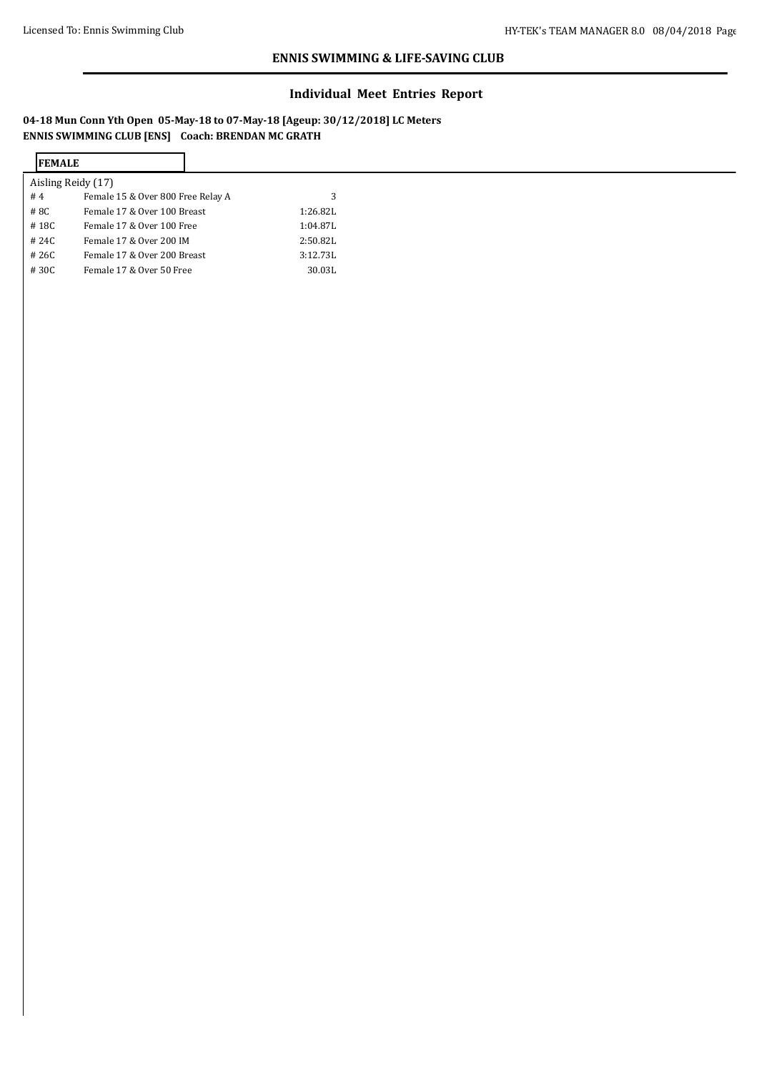# **Individual Meet Entries Report**

**04-18 Mun Conn Yth Open 05-May-18 to 07-May-18 [Ageup: 30/12/2018] LC Meters ENNIS SWIMMING CLUB [ENS] Coach: BRENDAN MC GRATH**

| <b>IFEMALE</b>                          |          |
|-----------------------------------------|----------|
| Aisling Reidy (17)                      |          |
| #4<br>Female 15 & Over 800 Free Relay A |          |
| #8C<br>Female 17 & Over 100 Breast      | 1:26.82L |
| #18C<br>Female 17 & Over 100 Free       | 1:04.87L |
| #24C<br>Female 17 & Over 200 IM         | 2:50.82L |
| #26C<br>Female 17 & Over 200 Breast     | 3:12.73L |
| #30C<br>Female 17 & Over 50 Free        | 30.03L   |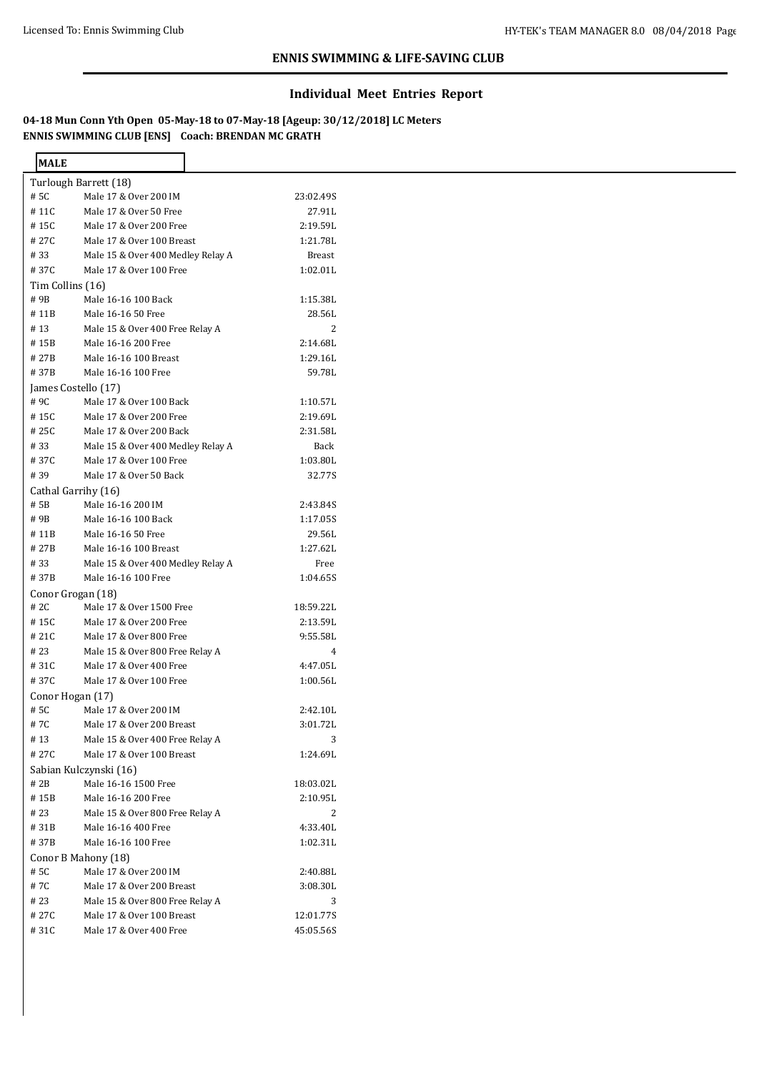# **Individual Meet Entries Report**

**04-18 Mun Conn Yth Open 05-May-18 to 07-May-18 [Ageup: 30/12/2018] LC Meters ENNIS SWIMMING CLUB [ENS] Coach: BRENDAN MC GRATH**

٦

| <b>MALE</b>      |                                   |               |
|------------------|-----------------------------------|---------------|
|                  | Turlough Barrett (18)             |               |
| # 5C             | Male 17 & Over 200 IM             | 23:02.49S     |
| #11C             | Male 17 & Over 50 Free            | 27.91L        |
| #15C             | Male 17 & Over 200 Free           | 2:19.59L      |
| # 27C            | Male 17 & Over 100 Breast         | 1:21.78L      |
| #33              | Male 15 & Over 400 Medley Relay A | <b>Breast</b> |
| #37C             | Male 17 & Over 100 Free           | 1:02.01L      |
| Tim Collins (16) |                                   |               |
| # 9B             | Male 16-16 100 Back               | 1:15.38L      |
| #11B             | Male 16-16 50 Free                | 28.56L        |
| #13              | Male 15 & Over 400 Free Relay A   | 2             |
| # 15B            | Male 16-16 200 Free               | 2:14.68L      |
| #27B             | Male 16-16 100 Breast             | 1:29.16L      |
| #37B             | Male 16-16 100 Free               | 59.78L        |
|                  |                                   |               |
|                  | James Costello (17)               |               |
| # 9C             | Male 17 & Over 100 Back           | 1:10.57L      |
| #15C             | Male 17 & Over 200 Free           | 2:19.69L      |
| #25C             | Male 17 & Over 200 Back           | 2:31.58L      |
| #33              | Male 15 & Over 400 Medley Relay A | Back          |
| #37C             | Male 17 & Over 100 Free           | 1:03.80L      |
| #39              | Male 17 & Over 50 Back            | 32.77S        |
|                  | Cathal Garrihy (16)               |               |
| # 5B             | Male 16-16 200 IM                 | 2:43.84S      |
| #9B              | Male 16-16 100 Back               | 1:17.05S      |
| # 11B            | Male 16-16 50 Free                | 29.56L        |
| #27B             | Male 16-16 100 Breast             | 1:27.62L      |
| #33              | Male 15 & Over 400 Medley Relay A | Free          |
| #37B             | Male 16-16 100 Free               | 1:04.65S      |
|                  | Conor Grogan (18)                 |               |
| # 2C             | Male 17 & Over 1500 Free          | 18:59.22L     |
| #15C             | Male 17 & Over 200 Free           | 2:13.59L      |
| #21C             | Male 17 & Over 800 Free           | 9:55.58L      |
| # 23             | Male 15 & Over 800 Free Relay A   | 4             |
| #31C             | Male 17 & Over 400 Free           | 4:47.05L      |
| #37C             | Male 17 & Over 100 Free           | 1:00.56L      |
|                  |                                   |               |
|                  | Conor Hogan (17)                  |               |
| # 5C             | Male 17 & Over 200 IM             | 2:42.10L      |
| #7C              | Male 17 & Over 200 Breast         | 3:01.72L      |
| #13              | Male 15 & Over 400 Free Relay A   | 3             |
| #27C             | Male 17 & Over 100 Breast         | 1:24.69L      |
|                  | Sabian Kulczynski (16)            |               |
| # 2B             | Male 16-16 1500 Free              | 18:03.02L     |
| #15B             | Male 16-16 200 Free               | 2:10.95L      |
| #23              | Male 15 & Over 800 Free Relay A   | 2             |
| #31B             | Male 16-16 400 Free               | 4:33.40L      |
| #37B             | Male 16-16 100 Free               | 1:02.31L      |
|                  | Conor B Mahony (18)               |               |
| # 5C             | Male 17 & Over 200 IM             | 2:40.88L      |
| #7C              | Male 17 & Over 200 Breast         | 3:08.30L      |
| #23              | Male 15 & Over 800 Free Relay A   | 3             |
| # 27C            | Male 17 & Over 100 Breast         | 12:01.77S     |
| #31C             | Male 17 & Over 400 Free           | 45:05.56S     |
|                  |                                   |               |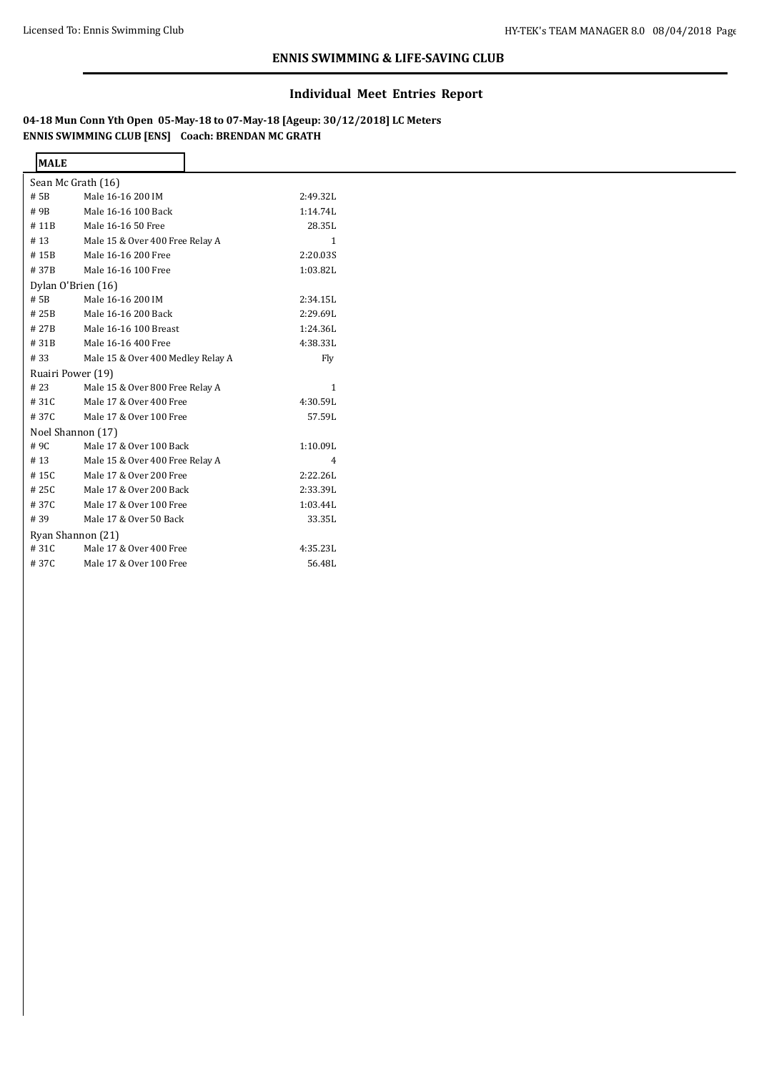# **Individual Meet Entries Report**

**04-18 Mun Conn Yth Open 05-May-18 to 07-May-18 [Ageup: 30/12/2018] LC Meters ENNIS SWIMMING CLUB [ENS] Coach: BRENDAN MC GRATH**

 $\overline{\mathbf{I}}$ 

| <b>MALE</b>        |                                   |                |
|--------------------|-----------------------------------|----------------|
|                    | Sean Mc Grath (16)                |                |
| # 5B               | Male 16-16 200 IM                 | 2:49.32L       |
| #9B                | Male 16-16 100 Back               | 1:14.74L       |
| #11B               | Male 16-16 50 Free                | 28.35L         |
| #13                | Male 15 & Over 400 Free Relay A   | $\mathbf{1}$   |
| #15B               | Male 16-16 200 Free               | 2:20.035       |
| #37B               | Male 16-16 100 Free               | 1:03.82L       |
| Dylan O'Brien (16) |                                   |                |
| # 5B               | Male 16-16 200 IM                 | 2:34.15L       |
| #25B               | Male 16-16 200 Back               | 2:29.69L       |
| #27B               | Male 16-16 100 Breast             | 1:24.36L       |
| #31B               | Male 16-16 400 Free               | 4:38.33L       |
| #33                | Male 15 & Over 400 Medley Relay A | Fly            |
| Ruairi Power (19)  |                                   |                |
| #23                | Male 15 & Over 800 Free Relay A   | 1              |
| #31C               | Male 17 & Over 400 Free           | 4:30.59L       |
| #37C               | Male 17 & Over 100 Free           | 57.59L         |
| Noel Shannon (17)  |                                   |                |
| #9C                | Male 17 & Over 100 Back           | 1:10.09L       |
| #13                | Male 15 & Over 400 Free Relay A   | $\overline{4}$ |
| #15C               | Male 17 & Over 200 Free           | 2:22.26L       |
| #25C               | Male 17 & Over 200 Back           | 2:33.39L       |
| #37C               | Male 17 & Over 100 Free           | 1:03.44L       |
| #39                | Male 17 & Over 50 Back            | 33.35L         |
|                    | Ryan Shannon (21)                 |                |
| #31C               | Male 17 & Over 400 Free           | 4:35.23L       |
| #37C               | Male 17 & Over 100 Free           | 56.48L         |